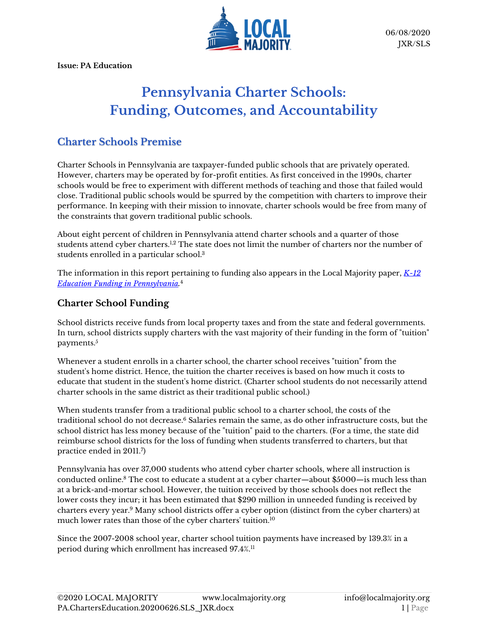

**Issue: PA Education**

# **Pennsylvania Charter Schools: Funding, Outcomes, and Accountability**

## **Charter Schools Premise**

Charter Schools in Pennsylvania are taxpayer-funded public schools that are privately operated. However, charters may be operated by for-profit entities. As first conceived in the 1990s, charter schools would be free to experiment with different methods of teaching and those that failed would close. Traditional public schools would be spurred by the competition with charters to improve their performance. In keeping with their mission to innovate, charter schools would be free from many of the constraints that govern traditional public schools.

About eight percent of children in Pennsylvania attend charter schools and a quarter of those students attend cyber charters.<sup>1,2</sup> The state does not limit the number of charters nor the number of students enrolled in a particular school.<sup>3</sup>

The information in this report pertaining to funding also appears in the Local Majority paper, *[K-12](https://www.localmajority.org/research-reports/#PA_educ_funding)  [Education Funding in Pennsylvania.](https://www.localmajority.org/research-reports/#PA_educ_funding)* 4

#### **Charter School Funding**

School districts receive funds from local property taxes and from the state and federal governments. In turn, school districts supply charters with the vast majority of their funding in the form of "tuition" payments.<sup>5</sup>

Whenever a student enrolls in a charter school, the charter school receives "tuition" from the student's home district. Hence, the tuition the charter receives is based on how much it costs to educate that student in the student's home district. (Charter school students do not necessarily attend charter schools in the same district as their traditional public school.)

When students transfer from a traditional public school to a charter school, the costs of the traditional school do not decrease. <sup>6</sup> Salaries remain the same, as do other infrastructure costs, but the school district has less money because of the "tuition" paid to the charters. (For a time, the state did reimburse school districts for the loss of funding when students transferred to charters, but that practice ended in 2011.<sup>7</sup> )

Pennsylvania has over 37,000 students who attend cyber charter schools, where all instruction is conducted online.<sup>8</sup> The cost to educate a student at a cyber charter—about \$5000—is much less than at a brick-and-mortar school. However, the tuition received by those schools does not reflect the lower costs they incur; it has been estimated that \$290 million in unneeded funding is received by charters every year.<sup>9</sup> Many school districts offer a cyber option (distinct from the cyber charters) at much lower rates than those of the cyber charters' tuition.<sup>10</sup>

Since the 2007-2008 school year, charter school tuition payments have increased by 139.3% in a period during which enrollment has increased 97.4%.11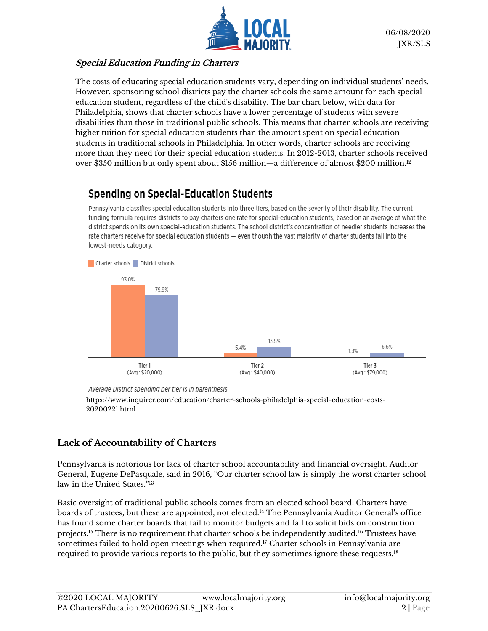

#### **Special Education Funding in Charters**

The costs of educating special education students vary, depending on individual students' needs. However, sponsoring school districts pay the charter schools the same amount for each special education student, regardless of the child's disability. The bar chart below, with data for Philadelphia, shows that charter schools have a lower percentage of students with severe disabilities than those in traditional public schools. This means that charter schools are receiving higher tuition for special education students than the amount spent on special education students in traditional schools in Philadelphia. In other words, charter schools are receiving more than they need for their special education students. In 2012-2013, charter schools received over \$350 million but only spent about \$156 million—a difference of almost \$200 million. $^{12}$ 

# **Spending on Special-Education Students**

Pennsylvania classifies special education students into three tiers, based on the severity of their disability. The current funding formula requires districts to pay charters one rate for special-education students, based on an average of what the district spends on its own special-education students. The school district's concentration of needier students increases the rate charters receive for special education students - even though the vast majority of charter students fall into the lowest-needs category.



Average District spending per tier is in parenthesis

[https://www.inquirer.com/education/charter-schools-philadelphia-special-education-costs-](https://www.inquirer.com/education/charter-schools-philadelphia-special-education-costs-20200221.html)[20200221.html](https://www.inquirer.com/education/charter-schools-philadelphia-special-education-costs-20200221.html)

### **Lack of Accountability of Charters**

Pennsylvania is notorious for lack of charter school accountability and financial oversight. Auditor General, Eugene DePasquale, said in 2016, "Our charter school law is simply the worst charter school law in the United States." 13

Basic oversight of traditional public schools comes from an elected school board. Charters have boards of trustees, but these are appointed, not elected.<sup>14</sup> The Pennsylvania Auditor General's office has found some charter boards that fail to monitor budgets and fail to solicit bids on construction projects.<sup>15</sup> There is no requirement that charter schools be independently audited.<sup>16</sup> Trustees have sometimes failed to hold open meetings when required.<sup>17</sup> Charter schools in Pennsylvania are required to provide various reports to the public, but they sometimes ignore these requests.18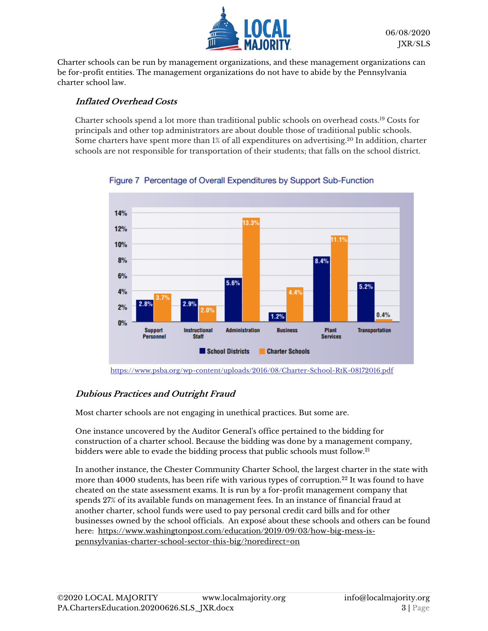

Charter schools can be run by management organizations, and these management organizations can be for-profit entities. The management organizations do not have to abide by the Pennsylvania charter school law.

#### **Inflated Overhead Costs**

Charter schools spend a lot more than traditional public schools on overhead costs.<sup>19</sup> Costs for principals and other top administrators are about double those of traditional public schools. Some charters have spent more than 1% of all expenditures on advertising.<sup>20</sup> In addition, charter schools are not responsible for transportation of their students; that falls on the school district.



Figure 7 Percentage of Overall Expenditures by Support Sub-Function

<https://www.psba.org/wp-content/uploads/2016/08/Charter-School-RtK-08172016.pdf>

#### **Dubious Practices and Outright Fraud**

Most charter schools are not engaging in unethical practices. But some are.

One instance uncovered by the Auditor General's office pertained to the bidding for construction of a charter school. Because the bidding was done by a management company, bidders were able to evade the bidding process that public schools must follow.<sup>21</sup>

In another instance, the Chester Community Charter School, the largest charter in the state with more than 4000 students, has been rife with various types of corruption.<sup>22</sup> It was found to have cheated on the state assessment exams. It is run by a for-profit management company that spends 27% of its available funds on management fees. In an instance of financial fraud at another charter, school funds were used to pay personal credit card bills and for other businesses owned by the school officials. An exposé about these schools and others can be found here: [https://www.washingtonpost.com/education/2019/09/03/how-big-mess-is](https://www.washingtonpost.com/education/2019/09/03/how-big-mess-is-pennsylvanias-charter-school-sector-this-big/?noredirect=on)[pennsylvanias-charter-school-sector-this-big/?noredirect=on](https://www.washingtonpost.com/education/2019/09/03/how-big-mess-is-pennsylvanias-charter-school-sector-this-big/?noredirect=on)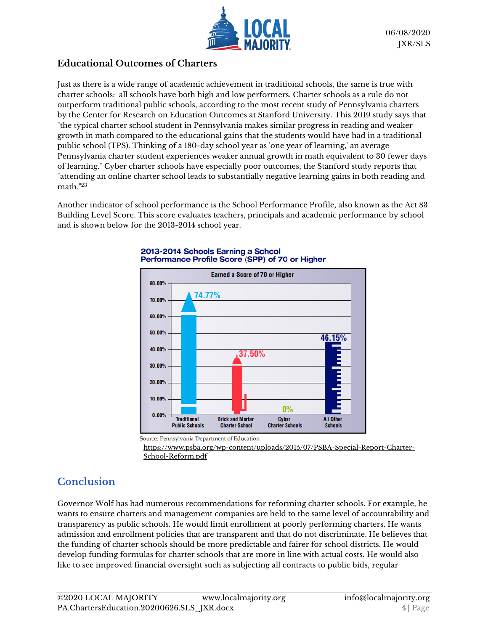

#### **Educational Outcomes of Charters**

Just as there is a wide range of academic achievement in traditional schools, the same is true with charter schools: all schools have both high and low performers. Charter schools as a rule do not outperform traditional public schools, according to the most recent study of Pennsylvania charters by the Center for Research on Education Outcomes at Stanford University. This 2019 study says that "the typical charter school student in Pennsylvania makes similar progress in reading and weaker growth in math compared to the educational gains that the students would have had in a traditional public school (TPS). Thinking of a 180-day school year as 'one year of learning,' an average Pennsylvania charter student experiences weaker annual growth in math equivalent to 30 fewer days of learning." Cyber charter schools have especially poor outcomes; the Stanford study reports that "attending an online charter school leads to substantially negative learning gains in both reading and math." 23

Another indicator of school performance is the School Performance Profile, also known as the Act 83 Building Level Score. This score evaluates teachers, principals and academic performance by school and is shown below for the 2013-2014 school year.



#### 2013-2014 Schools Earning a School Performance Profile Score (SPP) of 70 or Higher

Source: Pennsylvania Department of Education

[https://www.psba.org/wp-content/uploads/2015/07/PSBA-Special-Report-Charter-](https://www.psba.org/wp-content/uploads/2015/07/PSBA-Special-Report-Charter-School-Reform.pdf)[School-Reform.pdf](https://www.psba.org/wp-content/uploads/2015/07/PSBA-Special-Report-Charter-School-Reform.pdf)

# **Conclusion**

Governor Wolf has had numerous recommendations for reforming charter schools. For example, he wants to ensure charters and management companies are held to the same level of accountability and transparency as public schools. He would limit enrollment at poorly performing charters. He wants admission and enrollment policies that are transparent and that do not discriminate. He believes that the funding of charter schools should be more predictable and fairer for school districts. He would develop funding formulas for charter schools that are more in line with actual costs. He would also like to see improved financial oversight such as subjecting all contracts to public bids, regular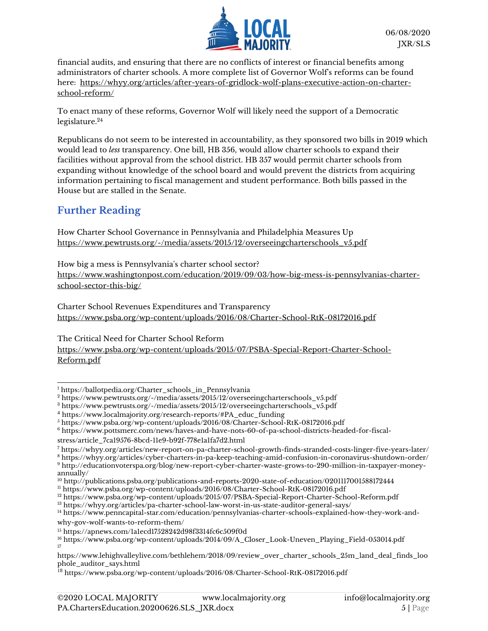

financial audits, and ensuring that there are no conflicts of interest or financial benefits among administrators of charter schools. A more complete list of Governor Wolf's reforms can be found here: [https://whyy.org/articles/after-years-of-gridlock-wolf-plans-executive-action-on-charter](https://whyy.org/articles/after-years-of-gridlock-wolf-plans-executive-action-on-charter-school-reform/T)[school-reform/](https://whyy.org/articles/after-years-of-gridlock-wolf-plans-executive-action-on-charter-school-reform/T)

To enact many of these reforms, Governor Wolf will likely need the support of a Democratic legislature.<sup>24</sup>

Republicans do not seem to be interested in accountability, as they sponsored two bills in 2019 which would lead to *less* transparency. One bill, HB 356, would allow charter schools to expand their facilities without approval from the school district. HB 357 would permit charter schools from expanding without knowledge of the school board and would prevent the districts from acquiring information pertaining to fiscal management and student performance. Both bills passed in the House but are stalled in the Senate.

# **Further Reading**

How Charter School Governance in Pennsylvania and Philadelphia Measures Up [https://www.pewtrusts.org/-/media/assets/2015/12/overseeingcharterschools\\_v5.pdf](https://www.pewtrusts.org/-/media/assets/2015/12/overseeingcharterschools_v5.pdf)

How big a mess is Pennsylvania's charter school sector? [https://www.washingtonpost.com/education/2019/09/03/how-big-mess-is-pennsylvanias-charter](https://www.washingtonpost.com/education/2019/09/03/how-big-mess-is-pennsylvanias-charter-school-sector-this-big/)[school-sector-this-big/](https://www.washingtonpost.com/education/2019/09/03/how-big-mess-is-pennsylvanias-charter-school-sector-this-big/)

Charter School Revenues Expenditures and Transparency <https://www.psba.org/wp-content/uploads/2016/08/Charter-School-RtK-08172016.pdf>

The Critical Need for Charter School Reform [https://www.psba.org/wp-content/uploads/2015/07/PSBA-Special-Report-Charter-School-](https://www.psba.org/wp-content/uploads/2015/07/PSBA-Special-Report-Charter-School-Reform.pdf)[Reform.pdf](https://www.psba.org/wp-content/uploads/2015/07/PSBA-Special-Report-Charter-School-Reform.pdf)

<sup>6</sup> [https://www.pottsmerc.com/news/haves-and-have-nots-60-of-pa-school-districts-headed-for-fiscal-](https://www.pottsmerc.com/news/haves-and-have-nots-60-of-pa-school-districts-headed-for-fiscal-stress/article_7ca19576-8bcd-11e9-b92f-778e1a1fa7d2.html)

<sup>1</sup> [https://ballotpedia.org/Charter\\_schools\\_in\\_Pennsylvania](https://ballotpedia.org/Charter_schools_in_Pennsylvania)

<sup>2</sup> [https://www.pewtrusts.org/-/media/assets/2015/12/overseeingcharterschools\\_v5.pdf](https://www.pewtrusts.org/-/media/assets/2015/12/overseeingcharterschools_v5.pdf)

<sup>3</sup> [https://www.pewtrusts.org/-/media/assets/2015/12/overseeingcharterschools\\_v5.pdf](https://www.pewtrusts.org/-/media/assets/2015/12/overseeingcharterschools_v5.pdf)

 $4 \text{ https://www.localmajority.org/research-reports/#PA}$  educ funding

<sup>&</sup>lt;sup>5</sup> <https://www.psba.org/wp-content/uploads/2016/08/Charter-School-RtK-08172016.pdf>

[stress/article\\_7ca19576-8bcd-11e9-b92f-778e1a1fa7d2.html](https://www.pottsmerc.com/news/haves-and-have-nots-60-of-pa-school-districts-headed-for-fiscal-stress/article_7ca19576-8bcd-11e9-b92f-778e1a1fa7d2.html)

<sup>7</sup> <https://whyy.org/articles/new-report-on-pa-charter-school-growth-finds-stranded-costs-linger-five-years-later/>

<sup>8</sup> <https://whyy.org/articles/cyber-charters-in-pa-keep-teaching-amid-confusion-in-coronavirus-shutdown-order/> <sup>9</sup> [http://educationvoterspa.org/blog/new-report-cyber-charter-waste-grows-to-290-million-in-taxpayer-money-](http://educationvoterspa.org/blog/new-report-cyber-charter-waste-grows-to-290-million-in-taxpayer-money-annually/)

[annually/](http://educationvoterspa.org/blog/new-report-cyber-charter-waste-grows-to-290-million-in-taxpayer-money-annually/)

<sup>10</sup> <http://publications.psba.org/publications-and-reports-2020-state-of-education/0201117001588172444>

<sup>11</sup> <https://www.psba.org/wp-content/uploads/2016/08/Charter-School-RtK-08172016.pdf>

<sup>12</sup> <https://www.psba.org/wp-content/uploads/2015/07/PSBA-Special-Report-Charter-School-Reform.pdf>

<sup>13</sup> <https://whyy.org/articles/pa-charter-school-law-worst-in-us-state-auditor-general-says/>

<sup>14</sup> [https://www.penncapital-star.com/education/pennsylvanias-charter-schools-explained-how-they-work-and](https://www.penncapital-star.com/education/pennsylvanias-charter-schools-explained-how-they-work-and-why-gov-wolf-wants-to-reform-them/)[why-gov-wolf-wants-to-reform-them/](https://www.penncapital-star.com/education/pennsylvanias-charter-schools-explained-how-they-work-and-why-gov-wolf-wants-to-reform-them/)

<sup>15</sup> <https://apnews.com/1a1ecd17528242d98f3314fc6c509f0d>

<sup>16</sup> [https://www.psba.org/wp-content/uploads/2014/09/A\\_Closer\\_Look-Uneven\\_Playing\\_Field-053014.pdf](https://www.psba.org/wp-content/uploads/2014/09/A_Closer_Look-Uneven_Playing_Field-053014.pdf) 17

[https://www.lehighvalleylive.com/bethlehem/2018/09/review\\_over\\_charter\\_schools\\_25m\\_land\\_deal\\_finds\\_loo](https://www.lehighvalleylive.com/bethlehem/2018/09/review_over_charter_schools_25m_land_deal_finds_loophole_auditor_says.html) [phole\\_auditor\\_says.html](https://www.lehighvalleylive.com/bethlehem/2018/09/review_over_charter_schools_25m_land_deal_finds_loophole_auditor_says.html)

<sup>18</sup> <https://www.psba.org/wp-content/uploads/2016/08/Charter-School-RtK-08172016.pdf>